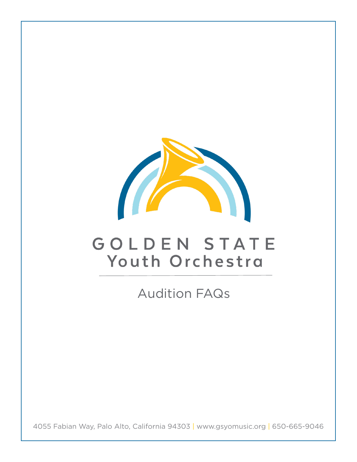

# GOLDEN STATE Youth Orchestra

Audition FAQs

4055 Fabian Way, Palo Alto, California 94303 | www.gsyomusic.org | 650-665-9046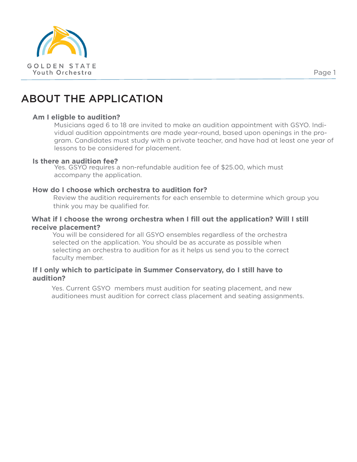

# ABOUT THE APPLICATION

#### **Am I eligble to audition?**

Musicians aged 6 to 18 are invited to make an audition appointment with GSYO. Individual audition appointments are made year-round, based upon openings in the program. Candidates must study with a private teacher, and have had at least one year of lessons to be considered for placement.

#### **Is there an audition fee?**

Yes. GSYO requires a non-refundable audition fee of \$25.00, which must accompany the application.

### **How do I choose which orchestra to audition for?**

Review the audition requirements for each ensemble to determine which group you think you may be qualified for.

## **What if I choose the wrong orchestra when I fill out the application? Will I still receive placement?**

You will be considered for all GSYO ensembles regardless of the orchestra selected on the application. You should be as accurate as possible when selecting an orchestra to audition for as it helps us send you to the correct faculty member.

# **If I only which to participate in Summer Conservatory, do I still have to audition?**

Yes. Current GSYO members must audition for seating placement, and new auditionees must audition for correct class placement and seating assignments.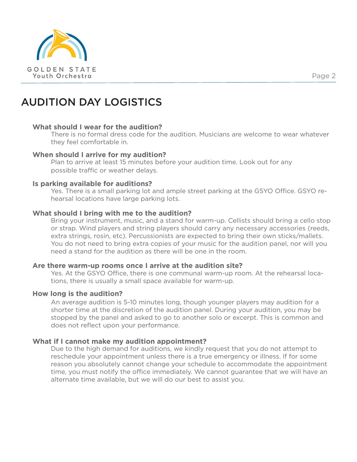

# AUDITION DAY LOGISTICS

#### **What should I wear for the audition?**

There is no formal dress code for the audition. Musicians are welcome to wear whatever they feel comfortable in.

#### **When should I arrive for my audition?**

Plan to arrive at least 15 minutes before your audition time. Look out for any possible traffic or weather delays.

#### **Is parking available for auditions?**

Yes. There is a small parking lot and ample street parking at the GSYO Office. GSYO rehearsal locations have large parking lots.

### **What should I bring with me to the audition?**

Bring your instrument, music, and a stand for warm-up. Cellists should bring a cello stop or strap. Wind players and string players should carry any necessary accessories (reeds, extra strings, rosin, etc). Percussionists are expected to bring their own sticks/mallets. You do not need to bring extra copies of your music for the audition panel, nor will you need a stand for the audition as there will be one in the room.

### **Are there warm-up rooms once I arrive at the audition site?**

Yes. At the GSYO Office, there is one communal warm-up room. At the rehearsal locations, there is usually a small space available for warm-up.

#### **How long is the audition?**

An average audition is 5-10 minutes long, though younger players may audition for a shorter time at the discretion of the audition panel. During your audition, you may be stopped by the panel and asked to go to another solo or excerpt. This is common and does not reflect upon your performance.

### **What if I cannot make my audition appointment?**

Due to the high demand for auditions, we kindly request that you do not attempt to reschedule your appointment unless there is a true emergency or illness. If for some reason you absolutely cannot change your schedule to accommodate the appointment time, you must notify the office immediately. We cannot guarantee that we will have an alternate time available, but we will do our best to assist you.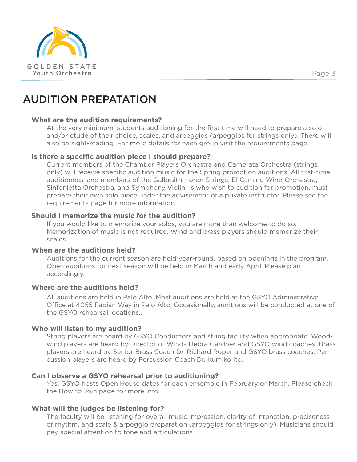

# AUDITION PREPATATION

# **What are the audition requirements?**

At the very minimum, students auditioning for the first time will need to prepare a solo and/or etude of their choice, scales, and arpeggios (arpeggios for strings only). There will also be sight-reading. For more details for each group visit the requirements page.

### **Is there a specific audition piece I should prepare?**

Current members of the Chamber Players Orchestra and Camerata Orchestra (strings only) will receive specific audition music for the Spring promotion auditions. All first-time auditionees, and members of the Galbraith Honor Strings, El Camino Wind Orchestra, Sinfonietta Orchestra, and Symphony Violin IIs who wish to audition for promotion, must prepare their own solo piece under the advisement of a private instructor. Please see the requirements page for more information.

# **Should I memorize the music for the audition?**

If you would like to memorize your solos, you are more than welcome to do so. Memorization of music is not required. Wind and brass players should memorize their scales.

### **When are the auditions held?**

Auditions for the current season are held year-round, based on openings in the program. Open auditions for next season will be held in March and early April. Please plan accordingly.

### **Where are the auditions held?**

All auditions are held in Palo Alto. Most auditions are held at the GSYO Administrative Office at 4055 Fabian Way in Palo Alto. Occasionally, auditions will be conducted at one of the GSYO rehearsal locations..

### **Who will listen to my audition?**

String players are heard by GSYO Conductors and string faculty when appropriate. Woodwind players are heard by Director of Winds Debra Gardner and GSYO wind coaches. Brass players are heard by Senior Brass Coach Dr. Richard Roper and GSYO brass coaches. Percussion players are heard by Percussion Coach Dr. Kumiko Ito.

### **Can I observe a GSYO rehearsal prior to auditioning?**

Yes! GSYO hosts Open House dates for each ensemble in February or March. Please check the How to Join page for more info.

# **What will the judges be listening for?**

The faculty will be listening for overall music impression, clarity of intonation, preciseness of rhythm, and scale & arpeggio preparation (arpeggios for strings only). Musicians should pay special attention to tone and articulations.